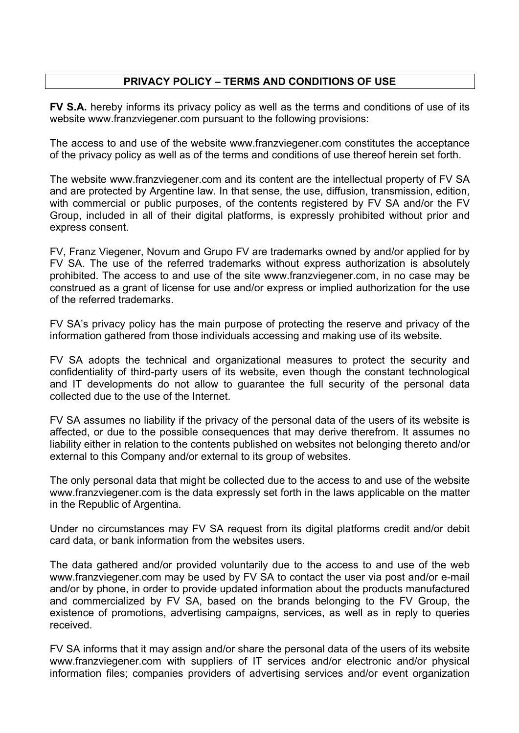## **PRIVACY POLICY – TERMS AND CONDITIONS OF USE**

**FV S.A.** hereby informs its privacy policy as well as the terms and conditions of use of its website www.franzviegener.com pursuant to the following provisions:

The access to and use of the website www.franzviegener.com constitutes the acceptance of the privacy policy as well as of the terms and conditions of use thereof herein set forth.

The website www.franzviegener.com and its content are the intellectual property of FV SA and are protected by Argentine law. In that sense, the use, diffusion, transmission, edition, with commercial or public purposes, of the contents registered by FV SA and/or the FV Group, included in all of their digital platforms, is expressly prohibited without prior and express consent.

FV, Franz Viegener, Novum and Grupo FV are trademarks owned by and/or applied for by FV SA. The use of the referred trademarks without express authorization is absolutely prohibited. The access to and use of the site www.franzviegener.com, in no case may be construed as a grant of license for use and/or express or implied authorization for the use of the referred trademarks.

FV SA's privacy policy has the main purpose of protecting the reserve and privacy of the information gathered from those individuals accessing and making use of its website.

FV SA adopts the technical and organizational measures to protect the security and confidentiality of third-party users of its website, even though the constant technological and IT developments do not allow to guarantee the full security of the personal data collected due to the use of the Internet.

FV SA assumes no liability if the privacy of the personal data of the users of its website is affected, or due to the possible consequences that may derive therefrom. It assumes no liability either in relation to the contents published on websites not belonging thereto and/or external to this Company and/or external to its group of websites.

The only personal data that might be collected due to the access to and use of the website www.franzviegener.com is the data expressly set forth in the laws applicable on the matter in the Republic of Argentina.

Under no circumstances may FV SA request from its digital platforms credit and/or debit card data, or bank information from the websites users.

The data gathered and/or provided voluntarily due to the access to and use of the web www.franzviegener.com may be used by FV SA to contact the user via post and/or e-mail and/or by phone, in order to provide updated information about the products manufactured and commercialized by FV SA, based on the brands belonging to the FV Group, the existence of promotions, advertising campaigns, services, as well as in reply to queries received.

FV SA informs that it may assign and/or share the personal data of the users of its website www.franzviegener.com with suppliers of IT services and/or electronic and/or physical information files; companies providers of advertising services and/or event organization